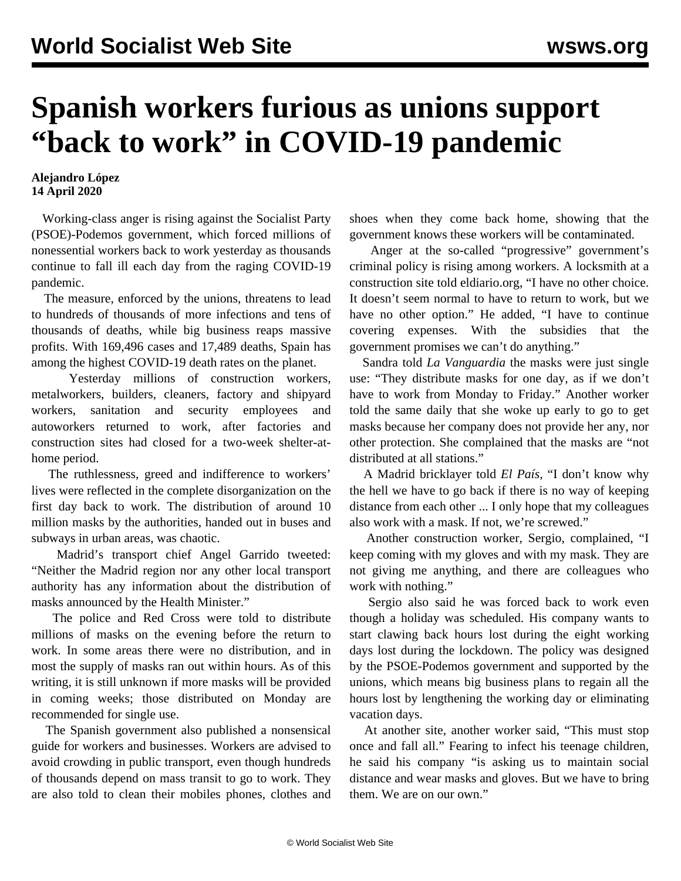## **Spanish workers furious as unions support "back to work" in COVID-19 pandemic**

## **Alejandro López 14 April 2020**

 Working-class anger is rising against the Socialist Party (PSOE)-Podemos government, which forced millions of nonessential workers back to work yesterday as thousands continue to fall ill each day from the raging COVID-19 pandemic.

 The measure, enforced by the unions, threatens to lead to hundreds of thousands of more infections and tens of thousands of deaths, while big business reaps massive profits. With 169,496 cases and 17,489 deaths, Spain has among the highest COVID-19 death rates on the planet.

 Yesterday millions of construction workers, metalworkers, builders, cleaners, factory and shipyard workers, sanitation and security employees and autoworkers returned to work, after factories and construction sites had closed for a two-week shelter-athome period.

 The ruthlessness, greed and indifference to workers' lives were reflected in the complete disorganization on the first day back to work. The distribution of around 10 million masks by the authorities, handed out in buses and subways in urban areas, was chaotic.

 Madrid's transport chief Angel Garrido tweeted: "Neither the Madrid region nor any other local transport authority has any information about the distribution of masks announced by the Health Minister."

 The police and Red Cross were told to distribute millions of masks on the evening before the return to work. In some areas there were no distribution, and in most the supply of masks ran out within hours. As of this writing, it is still unknown if more masks will be provided in coming weeks; those distributed on Monday are recommended for single use.

 The Spanish government also published a nonsensical guide for workers and businesses. Workers are advised to avoid crowding in public transport, even though hundreds of thousands depend on mass transit to go to work. They are also told to clean their mobiles phones, clothes and shoes when they come back home, showing that the government knows these workers will be contaminated.

 Anger at the so-called "progressive" government's criminal policy is rising among workers. A locksmith at a construction site told eldiario.org, "I have no other choice. It doesn't seem normal to have to return to work, but we have no other option." He added, "I have to continue covering expenses. With the subsidies that the government promises we can't do anything."

 Sandra told *La Vanguardia* the masks were just single use: "They distribute masks for one day, as if we don't have to work from Monday to Friday." Another worker told the same daily that she woke up early to go to get masks because her company does not provide her any, nor other protection. She complained that the masks are "not distributed at all stations."

 A Madrid bricklayer told *El País,* "I don't know why the hell we have to go back if there is no way of keeping distance from each other ... I only hope that my colleagues also work with a mask. If not, we're screwed."

 Another construction worker, Sergio, complained, "I keep coming with my gloves and with my mask. They are not giving me anything, and there are colleagues who work with nothing."

 Sergio also said he was forced back to work even though a holiday was scheduled. His company wants to start clawing back hours lost during the eight working days lost during the lockdown. The policy was designed by the PSOE-Podemos government and supported by the unions, which means big business plans to regain all the hours lost by lengthening the working day or eliminating vacation days.

 At another site, another worker said, "This must stop once and fall all." Fearing to infect his teenage children, he said his company "is asking us to maintain social distance and wear masks and gloves. But we have to bring them. We are on our own."